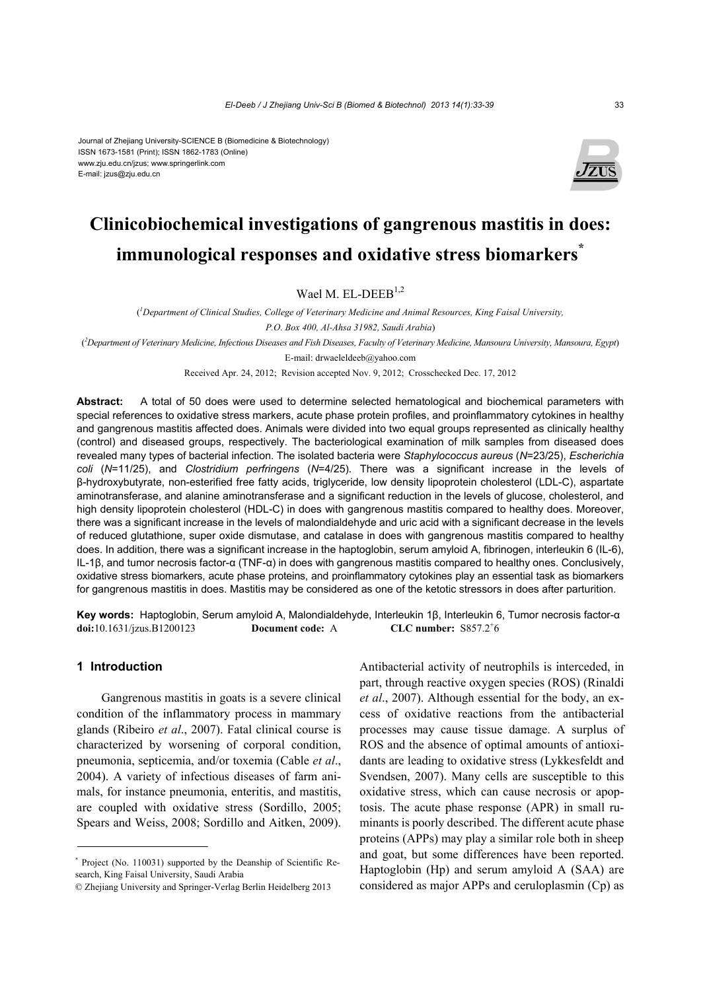#### Journal of Zhejiang University-SCIENCE B (Biomedicine & Biotechnology) ISSN 1673-1581 (Print); ISSN 1862-1783 (Online) www.zju.edu.cn/jzus; www.springerlink.com E-mail: jzus@zju.edu.cn



# **Clinicobiochemical investigations of gangrenous mastitis in does: immunological responses and oxidative stress biomarkers\***

Wael M. EL-DEEB<sup>1,2</sup>

( *1 Department of Clinical Studies, College of Veterinary Medicine and Animal Resources, King Faisal University, P.O. Box 400, Al-Ahsa 31982, Saudi Arabia*)

( *2 Department of Veterinary Medicine, Infectious Diseases and Fish Diseases, Faculty of Veterinary Medicine, Mansoura University, Mansoura, Egypt*)

E-mail: drwaeleldeeb@yahoo.com

Received Apr. 24, 2012; Revision accepted Nov. 9, 2012; Crosschecked Dec. 17, 2012

**Abstract:** A total of 50 does were used to determine selected hematological and biochemical parameters with special references to oxidative stress markers, acute phase protein profiles, and proinflammatory cytokines in healthy and gangrenous mastitis affected does. Animals were divided into two equal groups represented as clinically healthy (control) and diseased groups, respectively. The bacteriological examination of milk samples from diseased does revealed many types of bacterial infection. The isolated bacteria were *Staphylococcus aureus* (*N*=23/25), *Escherichia coli* (*N*=11/25), and *Clostridium perfringens* (*N*=4/25). There was a significant increase in the levels of β-hydroxybutyrate, non-esterified free fatty acids, triglyceride, low density lipoprotein cholesterol (LDL-C), aspartate aminotransferase, and alanine aminotransferase and a significant reduction in the levels of glucose, cholesterol, and high density lipoprotein cholesterol (HDL-C) in does with gangrenous mastitis compared to healthy does. Moreover, there was a significant increase in the levels of malondialdehyde and uric acid with a significant decrease in the levels of reduced glutathione, super oxide dismutase, and catalase in does with gangrenous mastitis compared to healthy does. In addition, there was a significant increase in the haptoglobin, serum amyloid A, fibrinogen, interleukin 6 (IL-6), IL-1β, and tumor necrosis factor-α (TNF-α) in does with gangrenous mastitis compared to healthy ones. Conclusively, oxidative stress biomarkers, acute phase proteins, and proinflammatory cytokines play an essential task as biomarkers for gangrenous mastitis in does. Mastitis may be considered as one of the ketotic stressors in does after parturition.

**Key words:** Haptoglobin, Serum amyloid A, Malondialdehyde, Interleukin 1β, Interleukin 6, Tumor necrosis factor-α **doi:**10.1631/jzus.B1200123 **Document code:** A CLC number:  $S857.2<sup>+</sup>6$ 

# **1 Introduction**

Gangrenous mastitis in goats is a severe clinical condition of the inflammatory process in mammary glands (Ribeiro *et al*., 2007). Fatal clinical course is characterized by worsening of corporal condition, pneumonia, septicemia, and/or toxemia (Cable *et al*., 2004). A variety of infectious diseases of farm animals, for instance pneumonia, enteritis, and mastitis, are coupled with oxidative stress (Sordillo, 2005; Spears and Weiss, 2008; Sordillo and Aitken, 2009).

Antibacterial activity of neutrophils is interceded, in part, through reactive oxygen species (ROS) (Rinaldi *et al*., 2007). Although essential for the body, an excess of oxidative reactions from the antibacterial processes may cause tissue damage. A surplus of ROS and the absence of optimal amounts of antioxidants are leading to oxidative stress (Lykkesfeldt and Svendsen, 2007). Many cells are susceptible to this oxidative stress, which can cause necrosis or apoptosis. The acute phase response (APR) in small ruminants is poorly described. The different acute phase proteins (APPs) may play a similar role both in sheep and goat, but some differences have been reported. Haptoglobin (Hp) and serum amyloid A (SAA) are considered as major APPs and ceruloplasmin (Cp) as

<sup>\*</sup> Project (No. 110031) supported by the Deanship of Scientific Research, King Faisal University, Saudi Arabia

<sup>©</sup> Zhejiang University and Springer-Verlag Berlin Heidelberg 2013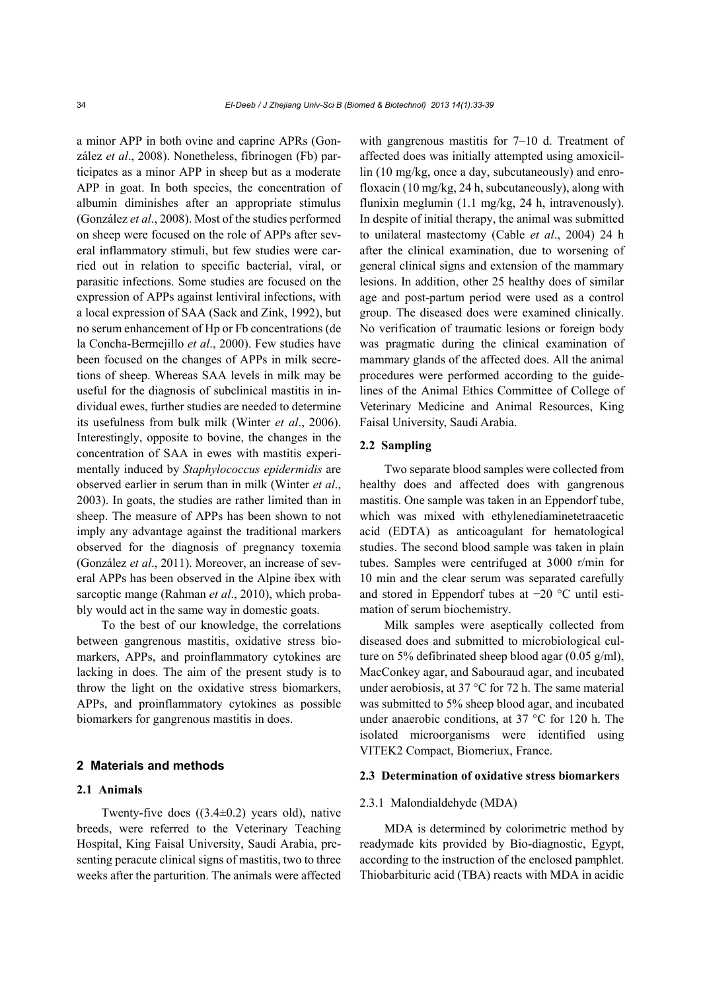a minor APP in both ovine and caprine APRs (González *et al*., 2008). Nonetheless, fibrinogen (Fb) participates as a minor APP in sheep but as a moderate APP in goat. In both species, the concentration of albumin diminishes after an appropriate stimulus (González *et al*., 2008). Most of the studies performed on sheep were focused on the role of APPs after several inflammatory stimuli, but few studies were carried out in relation to specific bacterial, viral, or parasitic infections. Some studies are focused on the expression of APPs against lentiviral infections, with a local expression of SAA (Sack and Zink, 1992), but no serum enhancement of Hp or Fb concentrations (de la Concha-Bermejillo *et al*., 2000). Few studies have been focused on the changes of APPs in milk secretions of sheep. Whereas SAA levels in milk may be useful for the diagnosis of subclinical mastitis in individual ewes, further studies are needed to determine its usefulness from bulk milk (Winter *et al*., 2006). Interestingly, opposite to bovine, the changes in the concentration of SAA in ewes with mastitis experimentally induced by *Staphylococcus epidermidis* are observed earlier in serum than in milk (Winter *et al*., 2003). In goats, the studies are rather limited than in sheep. The measure of APPs has been shown to not imply any advantage against the traditional markers observed for the diagnosis of pregnancy toxemia (González *et al*., 2011). Moreover, an increase of several APPs has been observed in the Alpine ibex with sarcoptic mange (Rahman *et al*., 2010), which probably would act in the same way in domestic goats.

To the best of our knowledge, the correlations between gangrenous mastitis, oxidative stress biomarkers, APPs, and proinflammatory cytokines are lacking in does. The aim of the present study is to throw the light on the oxidative stress biomarkers, APPs, and proinflammatory cytokines as possible biomarkers for gangrenous mastitis in does.

# **2 Materials and methods**

# **2.1 Animals**

Twenty-five does  $((3.4\pm0.2)$  years old), native breeds, were referred to the Veterinary Teaching Hospital, King Faisal University, Saudi Arabia, presenting peracute clinical signs of mastitis, two to three weeks after the parturition. The animals were affected with gangrenous mastitis for 7–10 d. Treatment of affected does was initially attempted using amoxicillin (10 mg/kg, once a day, subcutaneously) and enrofloxacin (10 mg/kg, 24 h, subcutaneously), along with flunixin meglumin (1.1 mg/kg, 24 h, intravenously). In despite of initial therapy, the animal was submitted to unilateral mastectomy (Cable *et al*., 2004) 24 h after the clinical examination, due to worsening of general clinical signs and extension of the mammary lesions. In addition, other 25 healthy does of similar age and post-partum period were used as a control group. The diseased does were examined clinically. No verification of traumatic lesions or foreign body was pragmatic during the clinical examination of mammary glands of the affected does. All the animal procedures were performed according to the guidelines of the Animal Ethics Committee of College of Veterinary Medicine and Animal Resources, King Faisal University, Saudi Arabia.

# **2.2 Sampling**

Two separate blood samples were collected from healthy does and affected does with gangrenous mastitis. One sample was taken in an Eppendorf tube, which was mixed with ethylenediaminetetraacetic acid (EDTA) as anticoagulant for hematological studies. The second blood sample was taken in plain tubes. Samples were centrifuged at 3000 r/min for 10 min and the clear serum was separated carefully and stored in Eppendorf tubes at −20 °C until estimation of serum biochemistry.

Milk samples were aseptically collected from diseased does and submitted to microbiological culture on 5% defibrinated sheep blood agar (0.05 g/ml), MacConkey agar, and Sabouraud agar, and incubated under aerobiosis, at 37 °C for 72 h. The same material was submitted to 5% sheep blood agar, and incubated under anaerobic conditions, at 37 °C for 120 h. The isolated microorganisms were identified using VITEK2 Compact, Biomeriux, France.

#### **2.3 Determination of oxidative stress biomarkers**

#### 2.3.1 Malondialdehyde (MDA)

MDA is determined by colorimetric method by readymade kits provided by Bio-diagnostic, Egypt, according to the instruction of the enclosed pamphlet. Thiobarbituric acid (TBA) reacts with MDA in acidic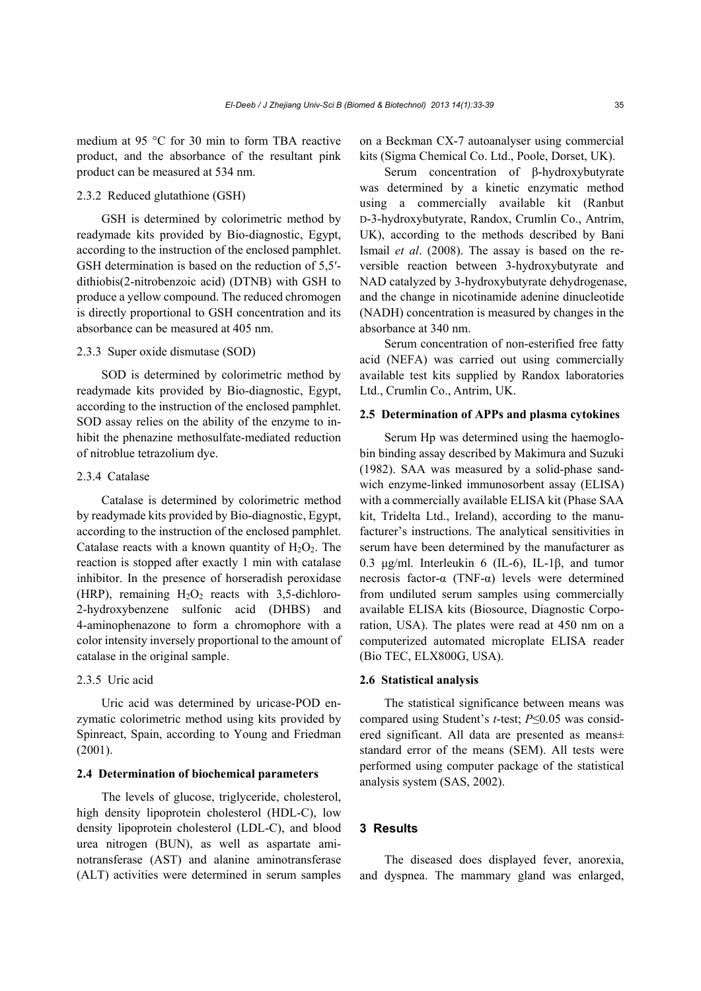medium at 95 °C for 30 min to form TBA reactive product, and the absorbance of the resultant pink product can be measured at 534 nm.

# 2.3.2 Reduced glutathione (GSH)

GSH is determined by colorimetric method by readymade kits provided by Bio-diagnostic, Egypt, according to the instruction of the enclosed pamphlet. GSH determination is based on the reduction of 5,5′ dithiobis(2-nitrobenzoic acid) (DTNB) with GSH to produce a yellow compound. The reduced chromogen is directly proportional to GSH concentration and its absorbance can be measured at 405 nm.

## 2.3.3 Super oxide dismutase (SOD)

SOD is determined by colorimetric method by readymade kits provided by Bio-diagnostic, Egypt, according to the instruction of the enclosed pamphlet. SOD assay relies on the ability of the enzyme to inhibit the phenazine methosulfate-mediated reduction of nitroblue tetrazolium dye.

# 2.3.4 Catalase

Catalase is determined by colorimetric method by readymade kits provided by Bio-diagnostic, Egypt, according to the instruction of the enclosed pamphlet. Catalase reacts with a known quantity of  $H_2O_2$ . The reaction is stopped after exactly 1 min with catalase inhibitor. In the presence of horseradish peroxidase (HRP), remaining  $H_2O_2$  reacts with 3,5-dichloro-2-hydroxybenzene sulfonic acid (DHBS) and 4-aminophenazone to form a chromophore with a color intensity inversely proportional to the amount of catalase in the original sample.

### 2.3.5 Uric acid

Uric acid was determined by uricase-POD enzymatic colorimetric method using kits provided by Spinreact, Spain, according to Young and Friedman (2001).

#### **2.4 Determination of biochemical parameters**

The levels of glucose, triglyceride, cholesterol, high density lipoprotein cholesterol (HDL-C), low density lipoprotein cholesterol (LDL-C), and blood urea nitrogen (BUN), as well as aspartate aminotransferase (AST) and alanine aminotransferase (ALT) activities were determined in serum samples on a Beckman CX-7 autoanalyser using commercial kits (Sigma Chemical Co. Ltd., Poole, Dorset, UK).

Serum concentration of β-hydroxybutyrate was determined by a kinetic enzymatic method using a commercially available kit (Ranbut D-3-hydroxybutyrate, Randox, Crumlin Co., Antrim, UK), according to the methods described by Bani Ismail *et al*. (2008). The assay is based on the reversible reaction between 3-hydroxybutyrate and NAD catalyzed by 3-hydroxybutyrate dehydrogenase, and the change in nicotinamide adenine dinucleotide (NADH) concentration is measured by changes in the absorbance at 340 nm.

Serum concentration of non-esterified free fatty acid (NEFA) was carried out using commercially available test kits supplied by Randox laboratories Ltd., Crumlin Co., Antrim, UK.

# **2.5 Determination of APPs and plasma cytokines**

Serum Hp was determined using the haemoglobin binding assay described by Makimura and Suzuki (1982). SAA was measured by a solid-phase sandwich enzyme-linked immunosorbent assay (ELISA) with a commercially available ELISA kit (Phase SAA kit, Tridelta Ltd., Ireland), according to the manufacturer's instructions. The analytical sensitivities in serum have been determined by the manufacturer as 0.3 μg/ml. Interleukin 6 (IL-6), IL-1β, and tumor necrosis factor-α (TNF-α) levels were determined from undiluted serum samples using commercially available ELISA kits (Biosource, Diagnostic Corporation, USA). The plates were read at 450 nm on a computerized automated microplate ELISA reader (Bio TEC, ELX800G, USA).

# **2.6 Statistical analysis**

The statistical significance between means was compared using Student's *t*-test; *P*≤0.05 was considered significant. All data are presented as means± standard error of the means (SEM). All tests were performed using computer package of the statistical analysis system (SAS, 2002).

## **3 Results**

The diseased does displayed fever, anorexia, and dyspnea. The mammary gland was enlarged,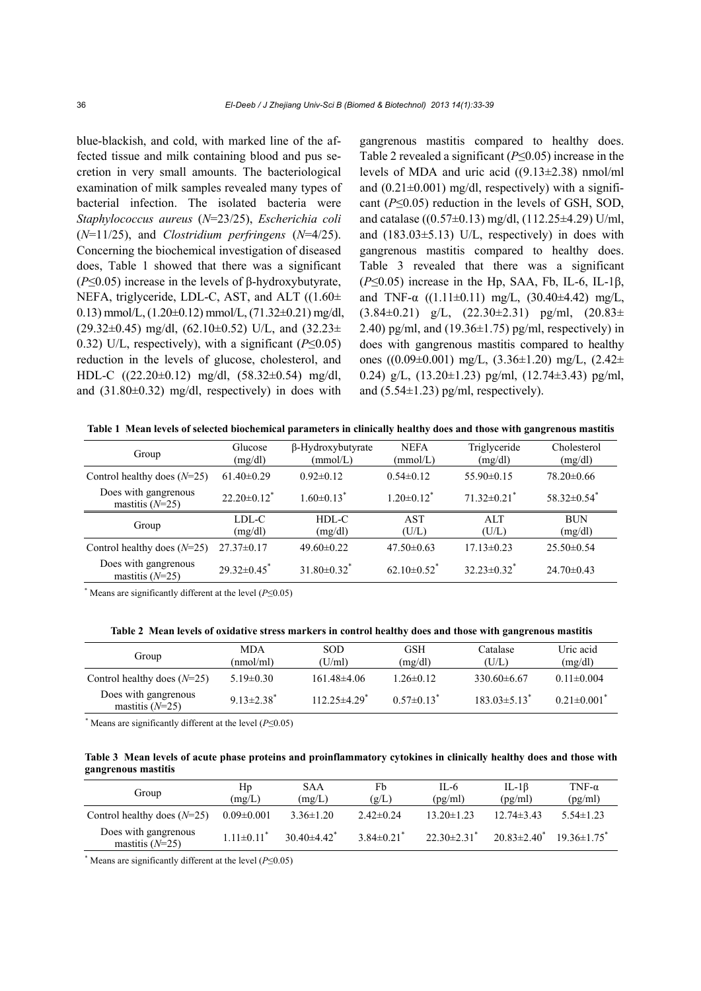blue-blackish, and cold, with marked line of the affected tissue and milk containing blood and pus secretion in very small amounts. The bacteriological examination of milk samples revealed many types of bacterial infection. The isolated bacteria were *Staphylococcus aureus* (*N*=23/25), *Escherichia coli* (*N*=11/25), and *Clostridium perfringens* (*N*=4/25). Concerning the biochemical investigation of diseased does, Table 1 showed that there was a significant (*P*≤0.05) increase in the levels of β-hydroxybutyrate, NEFA, triglyceride, LDL-C, AST, and ALT ((1.60± 0.13) mmol/L,  $(1.20\pm0.12)$  mmol/L,  $(71.32\pm0.21)$  mg/dl,  $(29.32\pm0.45)$  mg/dl,  $(62.10\pm0.52)$  U/L, and  $(32.23\pm$ 0.32) U/L, respectively), with a significant (*P*≤0.05) reduction in the levels of glucose, cholesterol, and HDL-C ((22.20±0.12) mg/dl, (58.32±0.54) mg/dl, and (31.80±0.32) mg/dl, respectively) in does with

gangrenous mastitis compared to healthy does. Table 2 revealed a significant (*P*≤0.05) increase in the levels of MDA and uric acid ((9.13±2.38) nmol/ml and  $(0.21\pm0.001)$  mg/dl, respectively) with a significant (*P*≤0.05) reduction in the levels of GSH, SOD, and catalase ((0.57±0.13) mg/dl, (112.25±4.29) U/ml, and  $(183.03\pm5.13)$  U/L, respectively) in does with gangrenous mastitis compared to healthy does. Table 3 revealed that there was a significant  $(P \le 0.05)$  increase in the Hp, SAA, Fb, IL-6, IL-1 $\beta$ , and TNF- $\alpha$  ((1.11±0.11) mg/L, (30.40±4.42) mg/L,  $(3.84\pm0.21)$  g/L,  $(22.30\pm2.31)$  pg/ml,  $(20.83\pm$ 2.40) pg/ml, and  $(19.36\pm1.75)$  pg/ml, respectively) in does with gangrenous mastitis compared to healthy ones ((0.09±0.001) mg/L, (3.36±1.20) mg/L, (2.42± 0.24) g/L,  $(13.20 \pm 1.23)$  pg/ml,  $(12.74 \pm 3.43)$  pg/ml, and  $(5.54\pm1.23)$  pg/ml, respectively).

**Table 1 Mean levels of selected biochemical parameters in clinically healthy does and those with gangrenous mastitis**

| Group                                     | Glucose<br>(mg/dl)            | $\beta$ -Hydroxybutyrate<br>(mmol/L) | <b>NEFA</b><br>(mmol/L)       | Triglyceride<br>(mg/dl)       | Cholesterol<br>(mg/dl)      |  |
|-------------------------------------------|-------------------------------|--------------------------------------|-------------------------------|-------------------------------|-----------------------------|--|
| Control healthy does $(N=25)$             | $61.40 \pm 0.29$              | $0.92\pm 0.12$                       | $0.54\pm0.12$                 | $55.90\pm0.15$                | $78.20 \pm 0.66$            |  |
| Does with gangrenous<br>mastitis $(N=25)$ | $22.20 \pm 0.12$ <sup>*</sup> | $1.60 \pm 0.13$ <sup>*</sup>         | $1.20 \pm 0.12$ <sup>*</sup>  | $71.32 \pm 0.21$ <sup>*</sup> | $58.32\pm0.54$ <sup>*</sup> |  |
| Group                                     | LDL-C<br>(mg/dl)              | $HDL-C$<br>(mg/dl)                   | <b>AST</b><br>(U/L)           | ATT<br>(U/L)                  | <b>BUN</b><br>(mg/dl)       |  |
| Control healthy does $(N=25)$             | $27.37 \pm 0.17$              | $49.60 \pm 0.22$                     | $47.50\pm0.63$                | $17.13 \pm 0.23$              | $25.50\pm0.54$              |  |
| Does with gangrenous<br>mastitis $(N=25)$ | $29.32 \pm 0.45$              | $31.80 \pm 0.32$ <sup>*</sup>        | $62.10 \pm 0.52$ <sup>*</sup> | $32.23 \pm 0.32$ <sup>*</sup> | $24.70 \pm 0.43$            |  |

\* Means are significantly different at the level (*P*≤0.05)

**Table 2 Mean levels of oxidative stress markers in control healthy does and those with gangrenous mastitis**

| Group                                     | <b>MDA</b><br>(nmol/ml)      | <b>SOD</b><br>(U/ml) | <b>GSH</b><br>(mg/dl)        | Catalase<br>(U/L)              | Uric acid<br>(mg/dl) |
|-------------------------------------------|------------------------------|----------------------|------------------------------|--------------------------------|----------------------|
| Control healthy does $(N=25)$             | $5.19 \pm 0.30$              | $161.48\pm 4.06$     | $1.26 \pm 0.12$              | $330.60\pm 6.67$               | $0.11 \pm 0.004$     |
| Does with gangrenous<br>mastitis $(N=25)$ | $9.13 \pm 2.38$ <sup>*</sup> | $112.25 \pm 4.29$    | $0.57 \pm 0.13$ <sup>*</sup> | $183.03 \pm 5.13$ <sup>*</sup> | $0.21 \pm 0.001$     |

\* Means are significantly different at the level (*P*≤0.05)

|                     |  | Table 3 Mean levels of acute phase proteins and proinflammatory cytokines in clinically healthy does and those with |  |  |  |
|---------------------|--|---------------------------------------------------------------------------------------------------------------------|--|--|--|
| gangrenous mastitis |  |                                                                                                                     |  |  |  |

| Group                                     | Hp<br>(mg/L)                 | SAA<br>(mg/L)                 | Fb<br>(g/L)                | IL-6<br>(pg/ml)               | IL-1 $\beta$<br>(pg/ml)  | TNF- $\alpha$<br>(pg/ml) |
|-------------------------------------------|------------------------------|-------------------------------|----------------------------|-------------------------------|--------------------------|--------------------------|
| Control healthy does $(N=25)$             | $0.09 \pm 0.001$             | $3.36 \pm 1.20$               | $2.42\pm 0.24$             | $13.20 \pm 1.23$              | $12.74\pm3.43$           | $5.54 \pm 1.23$          |
| Does with gangrenous<br>mastitis $(N=25)$ | $1.11 \pm 0.11$ <sup>*</sup> | 30 40 $\pm$ 4 42 <sup>*</sup> | $3.84\pm0.21$ <sup>*</sup> | $22.30 \pm 2.31$ <sup>*</sup> | $20.83 \pm 2.40^{\circ}$ | $19.36 \pm 1.75$         |

\* Means are significantly different at the level (*P*≤0.05)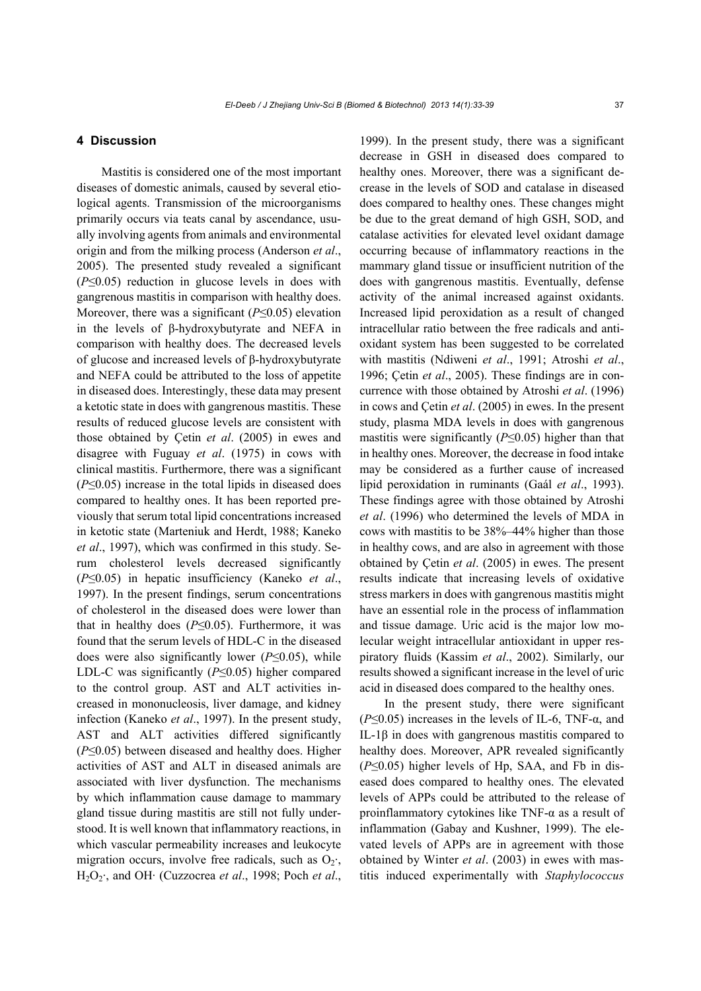# **4 Discussion**

Mastitis is considered one of the most important diseases of domestic animals, caused by several etiological agents. Transmission of the microorganisms primarily occurs via teats canal by ascendance, usually involving agents from animals and environmental origin and from the milking process (Anderson *et al*., 2005). The presented study revealed a significant (*P*≤0.05) reduction in glucose levels in does with gangrenous mastitis in comparison with healthy does. Moreover, there was a significant (*P*≤0.05) elevation in the levels of β-hydroxybutyrate and NEFA in comparison with healthy does. The decreased levels of glucose and increased levels of β-hydroxybutyrate and NEFA could be attributed to the loss of appetite in diseased does. Interestingly, these data may present a ketotic state in does with gangrenous mastitis. These results of reduced glucose levels are consistent with those obtained by Çetin *et al*. (2005) in ewes and disagree with Fuguay *et al*. (1975) in cows with clinical mastitis. Furthermore, there was a significant (*P*≤0.05) increase in the total lipids in diseased does compared to healthy ones. It has been reported previously that serum total lipid concentrations increased in ketotic state (Marteniuk and Herdt, 1988; Kaneko *et al*., 1997), which was confirmed in this study. Serum cholesterol levels decreased significantly (*P*≤0.05) in hepatic insufficiency (Kaneko *et al*., 1997). In the present findings, serum concentrations of cholesterol in the diseased does were lower than that in healthy does  $(P \le 0.05)$ . Furthermore, it was found that the serum levels of HDL-C in the diseased does were also significantly lower (*P*≤0.05), while LDL-C was significantly (*P*≤0.05) higher compared to the control group. AST and ALT activities increased in mononucleosis, liver damage, and kidney infection (Kaneko *et al*., 1997). In the present study, AST and ALT activities differed significantly (*P*≤0.05) between diseased and healthy does. Higher activities of AST and ALT in diseased animals are associated with liver dysfunction. The mechanisms by which inflammation cause damage to mammary gland tissue during mastitis are still not fully understood. It is well known that inflammatory reactions, in which vascular permeability increases and leukocyte migration occurs, involve free radicals, such as  $O_2$ ; H2O2·, and OH· (Cuzzocrea *et al*., 1998; Poch *et al*., 1999). In the present study, there was a significant decrease in GSH in diseased does compared to healthy ones. Moreover, there was a significant decrease in the levels of SOD and catalase in diseased does compared to healthy ones. These changes might be due to the great demand of high GSH, SOD, and catalase activities for elevated level oxidant damage occurring because of inflammatory reactions in the mammary gland tissue or insufficient nutrition of the does with gangrenous mastitis. Eventually, defense activity of the animal increased against oxidants. Increased lipid peroxidation as a result of changed intracellular ratio between the free radicals and antioxidant system has been suggested to be correlated with mastitis (Ndiweni *et al*., 1991; Atroshi *et al*., 1996; Çetin *et al*., 2005). These findings are in concurrence with those obtained by Atroshi *et al*. (1996) in cows and Çetin *et al*. (2005) in ewes. In the present study, plasma MDA levels in does with gangrenous mastitis were significantly (*P*≤0.05) higher than that in healthy ones. Moreover, the decrease in food intake may be considered as a further cause of increased lipid peroxidation in ruminants (Gaál *et al*., 1993). These findings agree with those obtained by Atroshi *et al*. (1996) who determined the levels of MDA in cows with mastitis to be 38%–44% higher than those in healthy cows, and are also in agreement with those obtained by Çetin *et al*. (2005) in ewes. The present results indicate that increasing levels of oxidative stress markers in does with gangrenous mastitis might have an essential role in the process of inflammation and tissue damage. Uric acid is the major low molecular weight intracellular antioxidant in upper respiratory fluids (Kassim *et al*., 2002). Similarly, our results showed a significant increase in the level of uric acid in diseased does compared to the healthy ones.

In the present study, there were significant ( $P \le 0.05$ ) increases in the levels of IL-6, TNF- $\alpha$ , and IL-1β in does with gangrenous mastitis compared to healthy does. Moreover, APR revealed significantly (*P*≤0.05) higher levels of Hp, SAA, and Fb in diseased does compared to healthy ones. The elevated levels of APPs could be attributed to the release of proinflammatory cytokines like TNF-α as a result of inflammation (Gabay and Kushner, 1999). The elevated levels of APPs are in agreement with those obtained by Winter *et al*. (2003) in ewes with mastitis induced experimentally with *Staphylococcus*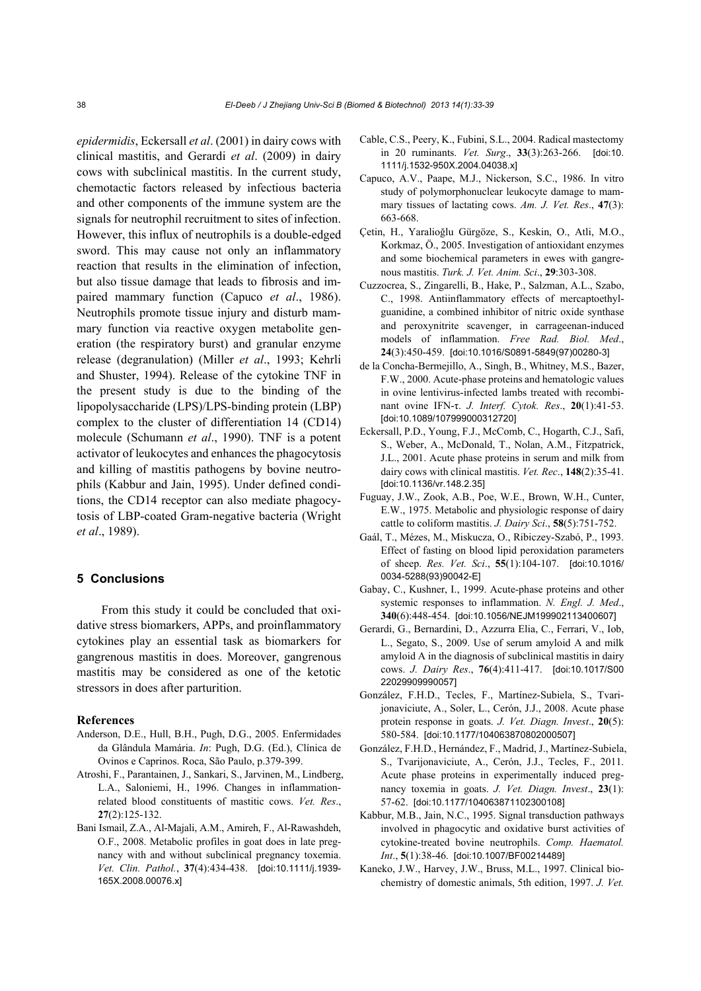*epidermidis*, Eckersall *et al*. (2001) in dairy cows with clinical mastitis, and Gerardi *et al*. (2009) in dairy cows with subclinical mastitis. In the current study, chemotactic factors released by infectious bacteria and other components of the immune system are the signals for neutrophil recruitment to sites of infection. However, this influx of neutrophils is a double-edged sword. This may cause not only an inflammatory reaction that results in the elimination of infection, but also tissue damage that leads to fibrosis and impaired mammary function (Capuco *et al*., 1986). Neutrophils promote tissue injury and disturb mammary function via reactive oxygen metabolite generation (the respiratory burst) and granular enzyme release (degranulation) (Miller *et al*., 1993; Kehrli and Shuster, 1994). Release of the cytokine TNF in the present study is due to the binding of the lipopolysaccharide (LPS)/LPS-binding protein (LBP) complex to the cluster of differentiation 14 (CD14) molecule (Schumann *et al*., 1990). TNF is a potent activator of leukocytes and enhances the phagocytosis and killing of mastitis pathogens by bovine neutrophils (Kabbur and Jain, 1995). Under defined conditions, the CD14 receptor can also mediate phagocytosis of LBP-coated Gram-negative bacteria (Wright *et al*., 1989).

# **5 Conclusions**

From this study it could be concluded that oxidative stress biomarkers, APPs, and proinflammatory cytokines play an essential task as biomarkers for gangrenous mastitis in does. Moreover, gangrenous mastitis may be considered as one of the ketotic stressors in does after parturition.

#### **References**

- Anderson, D.E., Hull, B.H., Pugh, D.G., 2005. Enfermidades da Glândula Mamária. *In*: Pugh, D.G. (Ed.), Clínica de Ovinos e Caprinos. Roca, São Paulo, p.379-399.
- Atroshi, F., Parantainen, J., Sankari, S., Jarvinen, M., Lindberg, L.A., Saloniemi, H., 1996. Changes in inflammationrelated blood constituents of mastitic cows. *Vet. Res*., **27**(2):125-132.
- Bani Ismail, Z.A., Al-Majali, A.M., Amireh, F., Al-Rawashdeh, O.F., 2008. Metabolic profiles in goat does in late pregnancy with and without subclinical pregnancy toxemia. *Vet. Clin. Pathol.*, **37**(4):434-438. [doi:10.1111/j.1939- 165X.2008.00076.x]
- Cable, C.S., Peery, K., Fubini, S.L., 2004. Radical mastectomy in 20 ruminants. *Vet. Surg*., **33**(3):263-266. [doi:10. 1111/j.1532-950X.2004.04038.x]
- Capuco, A.V., Paape, M.J., Nickerson, S.C., 1986. In vitro study of polymorphonuclear leukocyte damage to mammary tissues of lactating cows. *Am. J. Vet. Res*., **47**(3): 663-668.
- Çetin, H., Yaralioğlu Gürgöze, S., Keskin, O., Atli, M.O., Korkmaz, Ö., 2005. Investigation of antioxidant enzymes and some biochemical parameters in ewes with gangrenous mastitis. *Turk. J. Vet. Anim. Sci*., **29**:303-308.
- Cuzzocrea, S., Zingarelli, B., Hake, P., Salzman, A.L., Szabo, C., 1998. Antiinflammatory effects of mercaptoethylguanidine, a combined inhibitor of nitric oxide synthase and peroxynitrite scavenger, in carrageenan-induced models of inflammation. *Free Rad. Biol. Med*., **24**(3):450-459. [doi:10.1016/S0891-5849(97)00280-3]
- de la Concha-Bermejillo, A., Singh, B., Whitney, M.S., Bazer, F.W., 2000. Acute-phase proteins and hematologic values in ovine lentivirus-infected lambs treated with recombinant ovine IFN-τ. *J. Interf. Cytok. Res*., **20**(1):41-53. [doi:10.1089/107999000312720]
- Eckersall, P.D., Young, F.J., McComb, C., Hogarth, C.J., Safi, S., Weber, A., McDonald, T., Nolan, A.M., Fitzpatrick, J.L., 2001. Acute phase proteins in serum and milk from dairy cows with clinical mastitis. *Vet. Rec*., **148**(2):35-41. [doi:10.1136/vr.148.2.35]
- Fuguay, J.W., Zook, A.B., Poe, W.E., Brown, W.H., Cunter, E.W., 1975. Metabolic and physiologic response of dairy cattle to coliform mastitis. *J. Dairy Sci*., **58**(5):751-752.
- Gaál, T., Mézes, M., Miskucza, O., Ribiczey-Szabó, P., 1993. Effect of fasting on blood lipid peroxidation parameters of sheep. *Res. Vet. Sci*., **55**(1):104-107. [doi:10.1016/ 0034-5288(93)90042-E]
- Gabay, C., Kushner, I., 1999. Acute-phase proteins and other systemic responses to inflammation. *N. Engl. J. Med*., **340**(6):448-454. [doi:10.1056/NEJM199902113400607]
- Gerardi, G., Bernardini, D., Azzurra Elia, C., Ferrari, V., Iob, L., Segato, S., 2009. Use of serum amyloid A and milk amyloid A in the diagnosis of subclinical mastitis in dairy cows. *J. Dairy Res*., **76**(4):411-417. [doi:10.1017/S00 22029909990057]
- González, F.H.D., Tecles, F., Martínez-Subiela, S., Tvarijonaviciute, A., Soler, L., Cerón, J.J., 2008. Acute phase protein response in goats. *J. Vet. Diagn. Invest*., **20**(5): 580-584. [doi:10.1177/104063870802000507]
- González, F.H.D., Hernández, F., Madrid, J., Martínez-Subiela, S., Tvarijonaviciute, A., Cerón, J.J., Tecles, F., 2011. Acute phase proteins in experimentally induced pregnancy toxemia in goats. *J. Vet. Diagn. Invest*., **23**(1): 57-62. [doi:10.1177/104063871102300108]
- Kabbur, M.B., Jain, N.C., 1995. Signal transduction pathways involved in phagocytic and oxidative burst activities of cytokine-treated bovine neutrophils. *Comp. Haematol. Int*., **5**(1):38-46. [doi:10.1007/BF00214489]
- Kaneko, J.W., Harvey, J.W., Bruss, M.L., 1997. Clinical biochemistry of domestic animals, 5th edition, 1997. *J. Vet.*